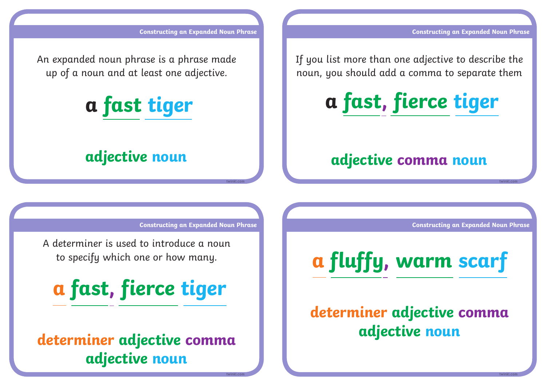**Constructing an Expanded Noun Phrase** 

**twinkl.com**

**twinkl.com**

**Constructing an Expanded Noun Phrase** 

An expanded noun phrase is a phrase made up of a noun and at least one adjective.



### **adjective noun**

If you list more than one adjective to describe the noun, you should add a comma to separate them



#### **adjective comma noun**

**Constructing an Expanded Noun Phrase** 

**twinkl.com**

**twinkl.com**

A determiner is used to introduce a noun to specify which one or how many.



 **determiner adjective comma adjective noun**

**Constructing an Expanded Noun Phrase** 

## **determiner adjective comma adjective noun**

**a fluffy, warm scarf**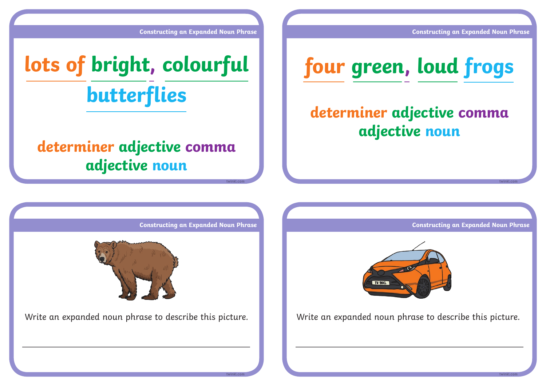**Constructing an Expanded Noun Phrase** 

**Constructing an Expanded Noun Phrase** 

# **lots of bright, colourful butterflies**

### **determiner adjective comma adjective noun**



## **determiner adjective comma adjective noun**

**Constructing an Expanded Noun Phrase** 

**twinkl.com**

**twinkl.com**



Write an expanded noun phrase to describe this picture. Write an expanded noun phrase to describe this picture.

**Constructing an Expanded Noun Phrase** 



**twinkl.com**